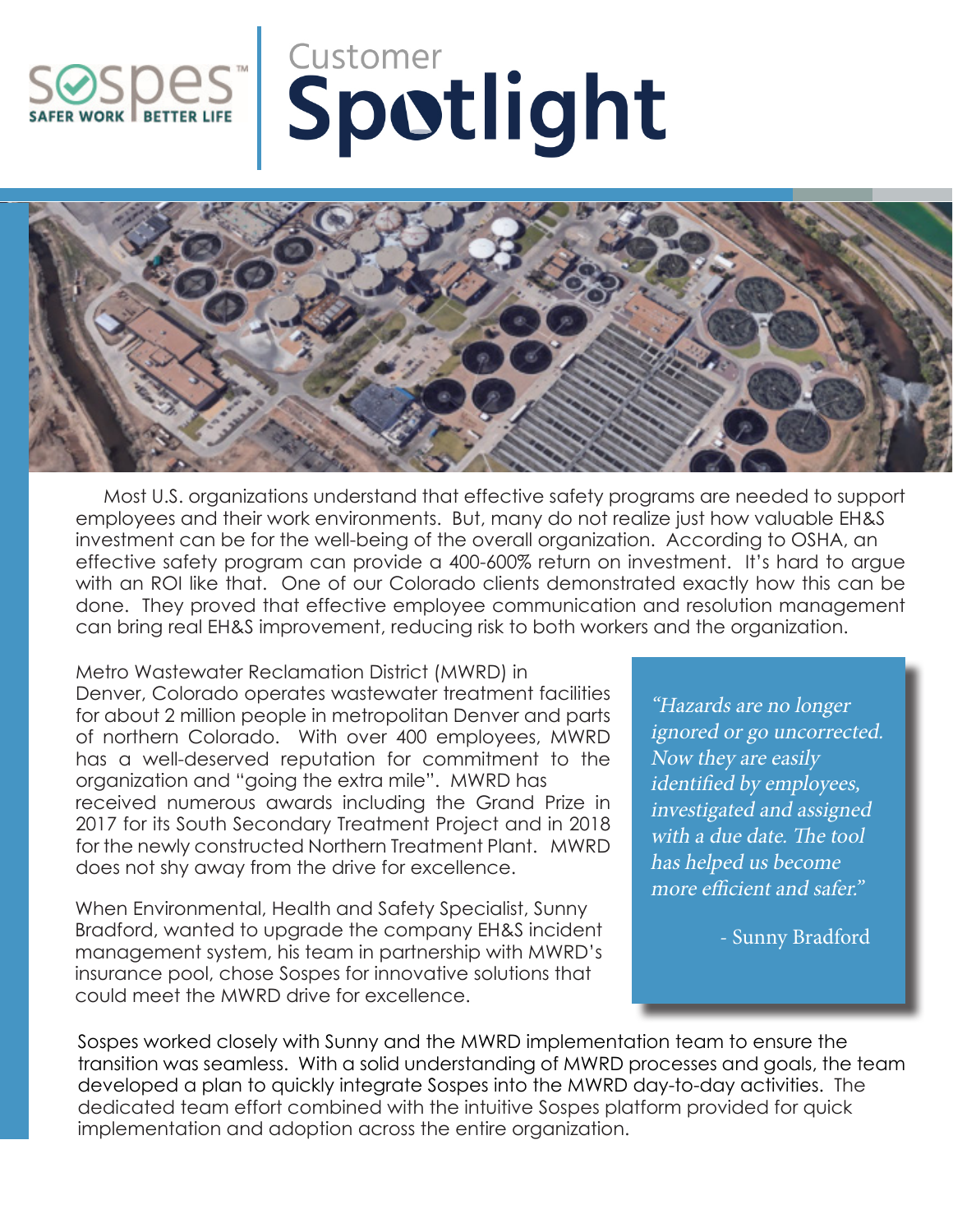## **SOLUTER LIFE**



 Most U.S. organizations understand that effective safety programs are needed to support employees and their work environments. But, many do not realize just how valuable EH&S investment can be for the well-being of the overall organization. According to OSHA, an effective safety program can provide a 400-600% return on investment. It's hard to argue with an ROI like that. One of our Colorado clients demonstrated exactly how this can be done. They proved that effective employee communication and resolution management can bring real EH&S improvement, reducing risk to both workers and the organization.

Metro Wastewater Reclamation District (MWRD) in Denver, Colorado operates wastewater treatment facilities for about 2 million people in metropolitan Denver and parts of northern Colorado. With over 400 employees, MWRD has a well-deserved reputation for commitment to the organization and "going the extra mile". MWRD has received numerous awards including the Grand Prize in 2017 for its South Secondary Treatment Project and in 2018 for the newly constructed Northern Treatment Plant. MWRD does not shy away from the drive for excellence.

When Environmental, Health and Safety Specialist, Sunny Bradford, wanted to upgrade the company EH&S incident management system, his team in partnership with MWRD's insurance pool, chose Sospes for innovative solutions that could meet the MWRD drive for excellence.

"Hazards are no longer ignored or go uncorrected. Now they are easily identified by employees, investigated and assigned with a due date. The tool has helped us become more efficient and safer."

- Sunny Bradford

Sospes worked closely with Sunny and the MWRD implementation team to ensure the transition was seamless. With a solid understanding of MWRD processes and goals, the team developed a plan to quickly integrate Sospes into the MWRD day-to-day activities. The dedicated team effort combined with the intuitive Sospes platform provided for quick implementation and adoption across the entire organization.